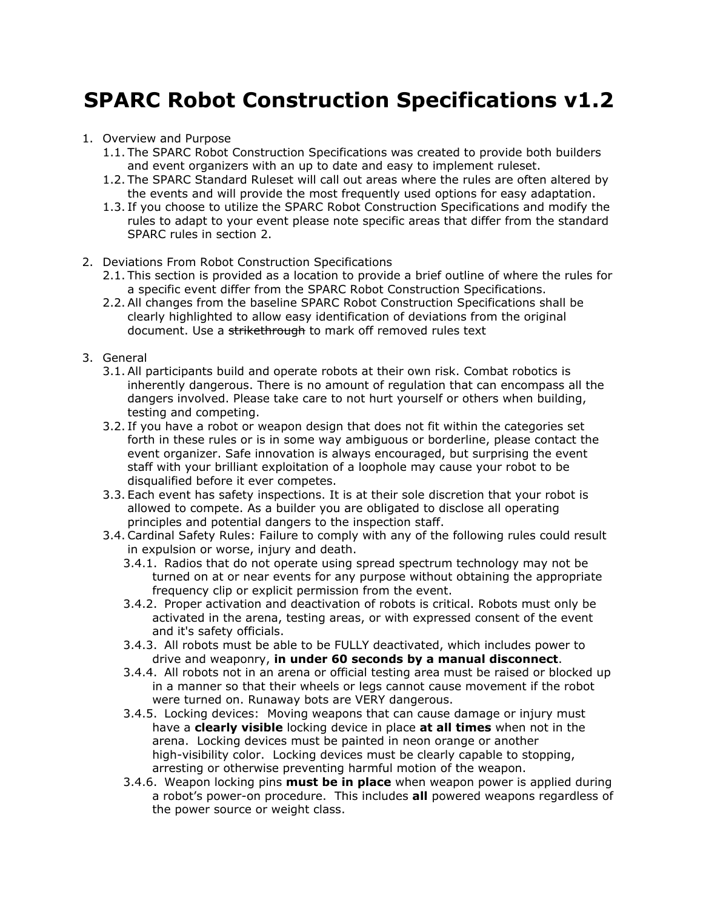# **SPARC Robot Construction Specifications v1.2**

#### 1. Overview and Purpose

- 1.1. The SPARC Robot Construction Specifications was created to provide both builders and event organizers with an up to date and easy to implement ruleset.
- 1.2. The SPARC Standard Ruleset will call out areas where the rules are often altered by the events and will provide the most frequently used options for easy adaptation.
- 1.3. If you choose to utilize the SPARC Robot Construction Specifications and modify the rules to adapt to your event please note specific areas that differ from the standard SPARC rules in section 2.
- 2. Deviations From Robot Construction Specifications
	- 2.1. This section is provided as a location to provide a brief outline of where the rules for a specific event differ from the SPARC Robot Construction Specifications.
	- 2.2. All changes from the baseline SPARC Robot Construction Specifications shall be clearly highlighted to allow easy identification of deviations from the original document. Use a strikethrough to mark off removed rules text
- 3. General
	- 3.1. All participants build and operate robots at their own risk. Combat robotics is inherently dangerous. There is no amount of regulation that can encompass all the dangers involved. Please take care to not hurt yourself or others when building, testing and competing.
	- 3.2. If you have a robot or weapon design that does not fit within the categories set forth in these rules or is in some way ambiguous or borderline, please contact the event organizer. Safe innovation is always encouraged, but surprising the event staff with your brilliant exploitation of a loophole may cause your robot to be disqualified before it ever competes.
	- 3.3. Each event has safety inspections. It is at their sole discretion that your robot is allowed to compete. As a builder you are obligated to disclose all operating principles and potential dangers to the inspection staff.
	- 3.4. Cardinal Safety Rules: Failure to comply with any of the following rules could result in expulsion or worse, injury and death.
		- 3.4.1. Radios that do not operate using spread spectrum technology may not be turned on at or near events for any purpose without obtaining the appropriate frequency clip or explicit permission from the event.
		- 3.4.2. Proper activation and deactivation of robots is critical. Robots must only be activated in the arena, testing areas, or with expressed consent of the event and it's safety officials.
		- 3.4.3. All robots must be able to be FULLY deactivated, which includes power to drive and weaponry, **in under 60 seconds by a manual disconnect**.
		- 3.4.4. All robots not in an arena or official testing area must be raised or blocked up in a manner so that their wheels or legs cannot cause movement if the robot were turned on. Runaway bots are VERY dangerous.
		- 3.4.5. Locking devices: Moving weapons that can cause damage or injury must have a **clearly visible** locking device in place **at all times** when not in the arena. Locking devices must be painted in neon orange or another high-visibility color. Locking devices must be clearly capable to stopping, arresting or otherwise preventing harmful motion of the weapon.
		- 3.4.6. Weapon locking pins **must be in place** when weapon power is applied during a robot's power-on procedure. This includes **all** powered weapons regardless of the power source or weight class.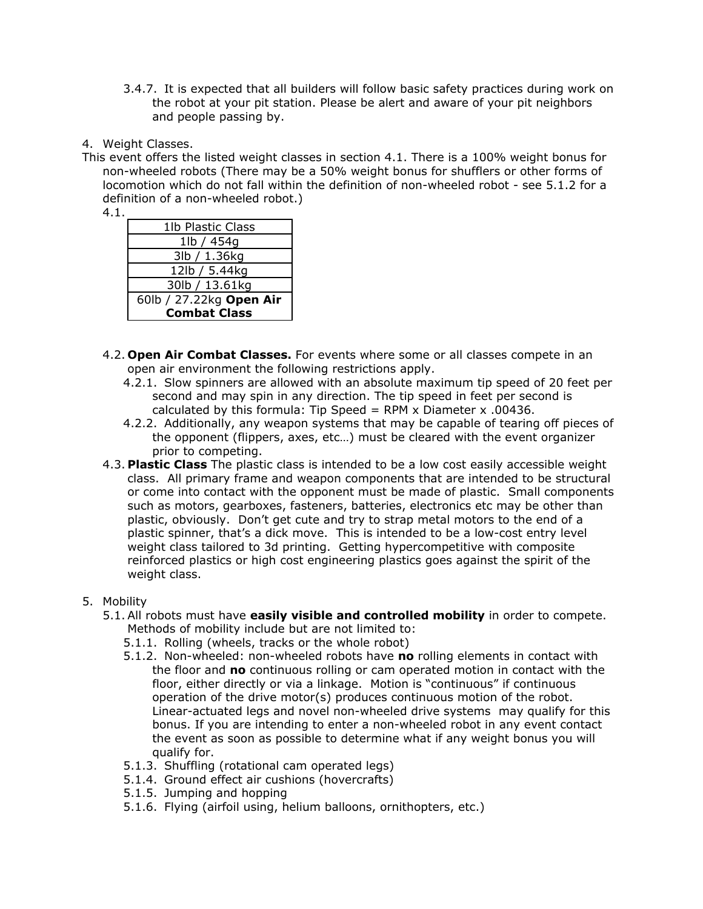- 3.4.7. It is expected that all builders will follow basic safety practices during work on the robot at your pit station. Please be alert and aware of your pit neighbors and people passing by.
- 4. Weight Classes.
- This event offers the listed weight classes in section 4.1. There is a 100% weight bonus for non-wheeled robots (There may be a 50% weight bonus for shufflers or other forms of locomotion which do not fall within the definition of non-wheeled robot - see 5.1.2 for a definition of a non-wheeled robot.)
	- 4.1.

| 1lb Plastic Class       |
|-------------------------|
| 1lb / 454g              |
| 3lb / 1.36kg            |
| 12lb / 5.44kg           |
| 30lb / 13.61kg          |
| 60lb / 27.22kg Open Air |
| <b>Combat Class</b>     |
|                         |

- 4.2. **Open Air Combat Classes.** For events where some or all classes compete in an open air environment the following restrictions apply.
	- 4.2.1. Slow spinners are allowed with an absolute maximum tip speed of 20 feet per second and may spin in any direction. The tip speed in feet per second is calculated by this formula: Tip Speed = RPM x Diameter x .00436.
	- 4.2.2. Additionally, any weapon systems that may be capable of tearing off pieces of the opponent (flippers, axes, etc…) must be cleared with the event organizer prior to competing.
- 4.3. **Plastic Class** The plastic class is intended to be a low cost easily accessible weight class. All primary frame and weapon components that are intended to be structural or come into contact with the opponent must be made of plastic. Small components such as motors, gearboxes, fasteners, batteries, electronics etc may be other than plastic, obviously. Don't get cute and try to strap metal motors to the end of a plastic spinner, that's a dick move. This is intended to be a low-cost entry level weight class tailored to 3d printing. Getting hypercompetitive with composite reinforced plastics or high cost engineering plastics goes against the spirit of the weight class.
- 5. Mobility
	- 5.1. All robots must have **easily visible and controlled mobility** in order to compete. Methods of mobility include but are not limited to:
		- 5.1.1. Rolling (wheels, tracks or the whole robot)
		- 5.1.2. Non-wheeled: non-wheeled robots have **no** rolling elements in contact with the floor and **no** continuous rolling or cam operated motion in contact with the floor, either directly or via a linkage. Motion is "continuous" if continuous operation of the drive motor(s) produces continuous motion of the robot. Linear-actuated legs and novel non-wheeled drive systems may qualify for this bonus. If you are intending to enter a non-wheeled robot in any event contact the event as soon as possible to determine what if any weight bonus you will qualify for.
		- 5.1.3. Shuffling (rotational cam operated legs)
		- 5.1.4. Ground effect air cushions (hovercrafts)
		- 5.1.5. Jumping and hopping
		- 5.1.6. Flying (airfoil using, helium balloons, ornithopters, etc.)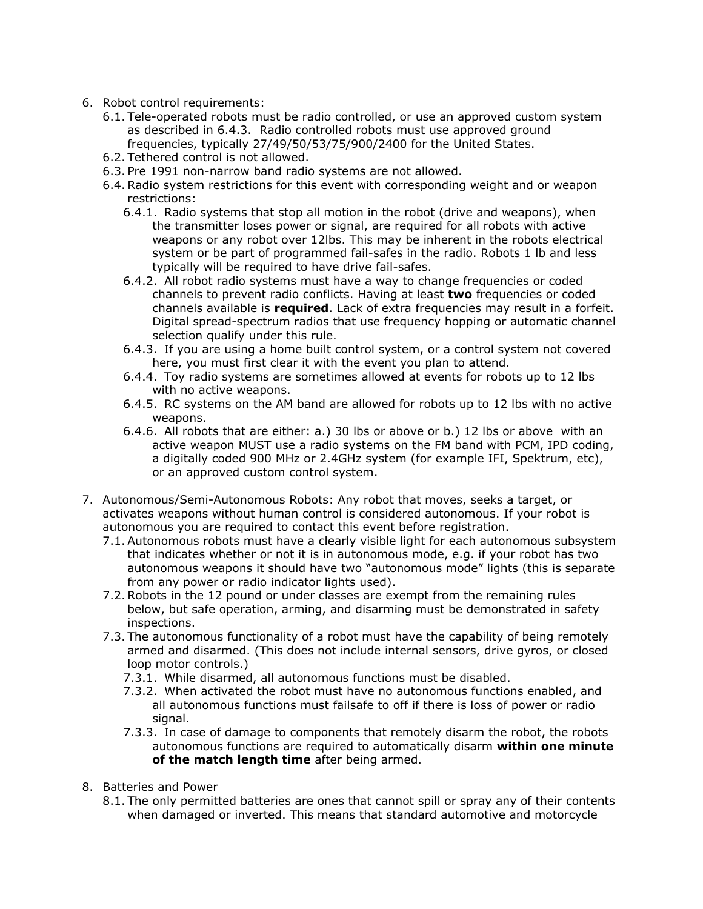- 6. Robot control requirements:
	- 6.1. Tele-operated robots must be radio controlled, or use an approved custom system as described in 6.4.3. Radio controlled robots must use approved ground frequencies, typically 27/49/50/53/75/900/2400 for the United States.
	- 6.2. Tethered control is not allowed.
	- 6.3. Pre 1991 non-narrow band radio systems are not allowed.
	- 6.4. Radio system restrictions for this event with corresponding weight and or weapon restrictions:
		- 6.4.1. Radio systems that stop all motion in the robot (drive and weapons), when the transmitter loses power or signal, are required for all robots with active weapons or any robot over 12lbs. This may be inherent in the robots electrical system or be part of programmed fail-safes in the radio. Robots 1 lb and less typically will be required to have drive fail-safes.
		- 6.4.2. All robot radio systems must have a way to change frequencies or coded channels to prevent radio conflicts. Having at least **two** frequencies or coded channels available is **required**. Lack of extra frequencies may result in a forfeit. Digital spread-spectrum radios that use frequency hopping or automatic channel selection qualify under this rule.
		- 6.4.3. If you are using a home built control system, or a control system not covered here, you must first clear it with the event you plan to attend.
		- 6.4.4. Toy radio systems are sometimes allowed at events for robots up to 12 lbs with no active weapons.
		- 6.4.5. RC systems on the AM band are allowed for robots up to 12 lbs with no active weapons.
		- 6.4.6. All robots that are either: a.) 30 lbs or above or b.) 12 lbs or above with an active weapon MUST use a radio systems on the FM band with PCM, IPD coding, a digitally coded 900 MHz or 2.4GHz system (for example IFI, Spektrum, etc), or an approved custom control system.
- 7. Autonomous/Semi-Autonomous Robots: Any robot that moves, seeks a target, or activates weapons without human control is considered autonomous. If your robot is autonomous you are required to contact this event before registration.
	- 7.1. Autonomous robots must have a clearly visible light for each autonomous subsystem that indicates whether or not it is in autonomous mode, e.g. if your robot has two autonomous weapons it should have two "autonomous mode" lights (this is separate from any power or radio indicator lights used).
	- 7.2. Robots in the 12 pound or under classes are exempt from the remaining rules below, but safe operation, arming, and disarming must be demonstrated in safety inspections.
	- 7.3. The autonomous functionality of a robot must have the capability of being remotely armed and disarmed. (This does not include internal sensors, drive gyros, or closed loop motor controls.)
		- 7.3.1. While disarmed, all autonomous functions must be disabled.
		- 7.3.2. When activated the robot must have no autonomous functions enabled, and all autonomous functions must failsafe to off if there is loss of power or radio signal.
		- 7.3.3. In case of damage to components that remotely disarm the robot, the robots autonomous functions are required to automatically disarm **within one minute of the match length time** after being armed.
- 8. Batteries and Power
	- 8.1. The only permitted batteries are ones that cannot spill or spray any of their contents when damaged or inverted. This means that standard automotive and motorcycle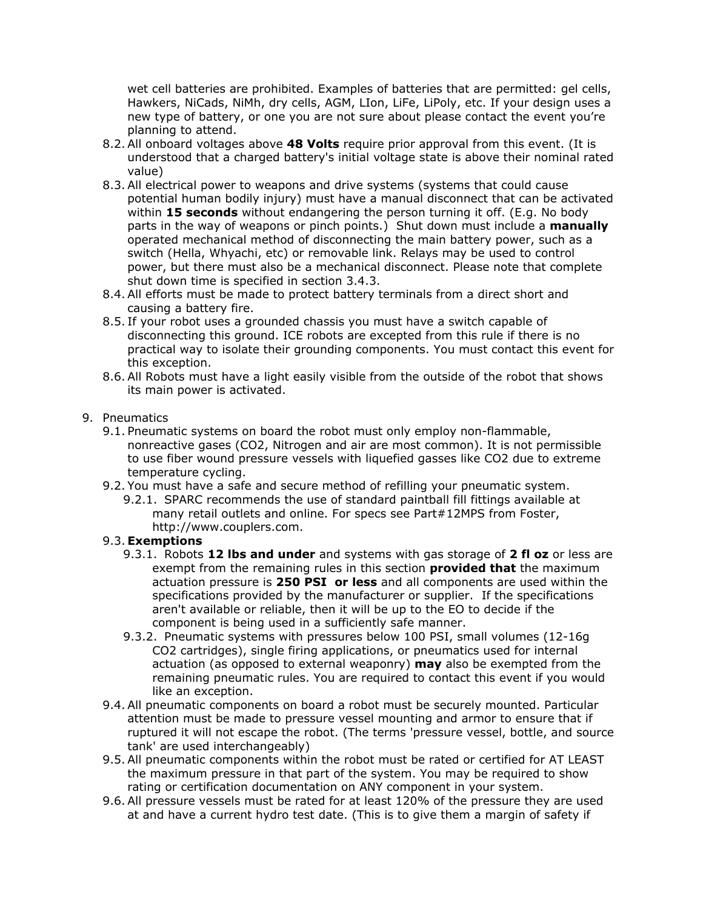wet cell batteries are prohibited. Examples of batteries that are permitted: gel cells, Hawkers, NiCads, NiMh, dry cells, AGM, LIon, LiFe, LiPoly, etc. If your design uses a new type of battery, or one you are not sure about please contact the event you're planning to attend.

- 8.2. All onboard voltages above **48 Volts** require prior approval from this event. (It is understood that a charged battery's initial voltage state is above their nominal rated value)
- 8.3. All electrical power to weapons and drive systems (systems that could cause potential human bodily injury) must have a manual disconnect that can be activated within **15 seconds** without endangering the person turning it off. (E.g. No body parts in the way of weapons or pinch points.) Shut down must include a **manually** operated mechanical method of disconnecting the main battery power, such as a switch (Hella, Whyachi, etc) or removable link. Relays may be used to control power, but there must also be a mechanical disconnect. Please note that complete shut down time is specified in section 3.4.3.
- 8.4. All efforts must be made to protect battery terminals from a direct short and causing a battery fire.
- 8.5. If your robot uses a grounded chassis you must have a switch capable of disconnecting this ground. ICE robots are excepted from this rule if there is no practical way to isolate their grounding components. You must contact this event for this exception.
- 8.6. All Robots must have a light easily visible from the outside of the robot that shows its main power is activated.
- 9. Pneumatics
	- 9.1. Pneumatic systems on board the robot must only employ non-flammable, nonreactive gases (CO2, Nitrogen and air are most common). It is not permissible to use fiber wound pressure vessels with liquefied gasses like CO2 due to extreme temperature cycling.
	- 9.2. You must have a safe and secure method of refilling your pneumatic system.
		- 9.2.1. SPARC recommends the use of standard paintball fill fittings available at many retail outlets and online. For specs see Part#12MPS from Foster, http://www.couplers.com.
	- 9.3. **Exemptions**
		- 9.3.1. Robots **12 lbs and under** and systems with gas storage of **2 fl oz** or less are exempt from the remaining rules in this section **provided that** the maximum actuation pressure is **250 PSI or less** and all components are used within the specifications provided by the manufacturer or supplier. If the specifications aren't available or reliable, then it will be up to the EO to decide if the component is being used in a sufficiently safe manner.
		- 9.3.2. Pneumatic systems with pressures below 100 PSI, small volumes (12-16g CO2 cartridges), single firing applications, or pneumatics used for internal actuation (as opposed to external weaponry) **may** also be exempted from the remaining pneumatic rules. You are required to contact this event if you would like an exception.
	- 9.4. All pneumatic components on board a robot must be securely mounted. Particular attention must be made to pressure vessel mounting and armor to ensure that if ruptured it will not escape the robot. (The terms 'pressure vessel, bottle, and source tank' are used interchangeably)
	- 9.5. All pneumatic components within the robot must be rated or certified for AT LEAST the maximum pressure in that part of the system. You may be required to show rating or certification documentation on ANY component in your system.
	- 9.6. All pressure vessels must be rated for at least 120% of the pressure they are used at and have a current hydro test date. (This is to give them a margin of safety if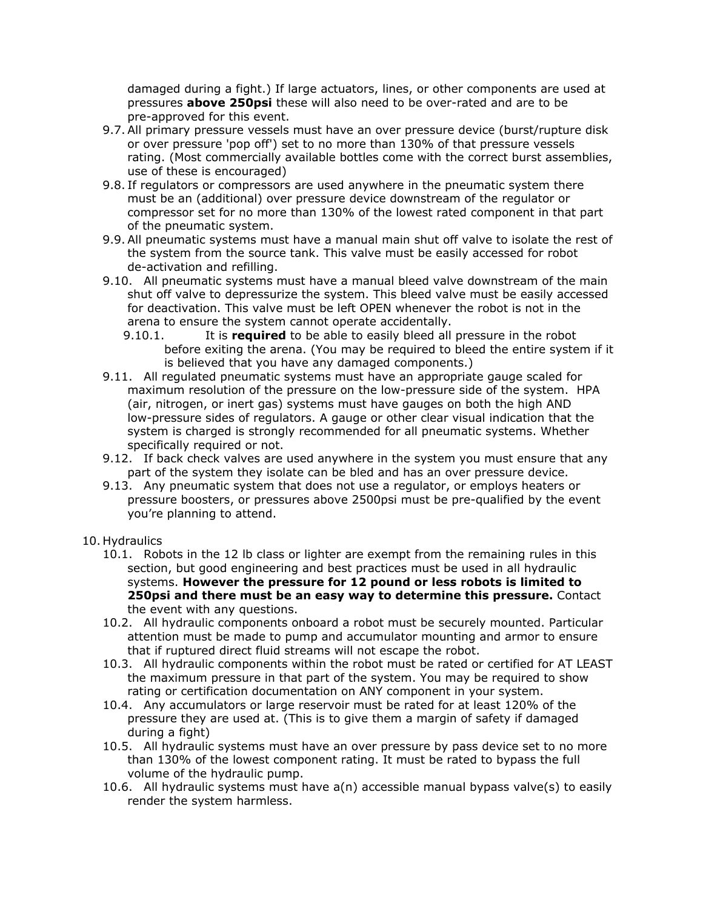damaged during a fight.) If large actuators, lines, or other components are used at pressures **above 250psi** these will also need to be over-rated and are to be pre-approved for this event.

- 9.7. All primary pressure vessels must have an over pressure device (burst/rupture disk or over pressure 'pop off') set to no more than 130% of that pressure vessels rating. (Most commercially available bottles come with the correct burst assemblies, use of these is encouraged)
- 9.8. If regulators or compressors are used anywhere in the pneumatic system there must be an (additional) over pressure device downstream of the regulator or compressor set for no more than 130% of the lowest rated component in that part of the pneumatic system.
- 9.9. All pneumatic systems must have a manual main shut off valve to isolate the rest of the system from the source tank. This valve must be easily accessed for robot de-activation and refilling.
- 9.10. All pneumatic systems must have a manual bleed valve downstream of the main shut off valve to depressurize the system. This bleed valve must be easily accessed for deactivation. This valve must be left OPEN whenever the robot is not in the arena to ensure the system cannot operate accidentally.
	- 9.10.1. It is **required** to be able to easily bleed all pressure in the robot before exiting the arena. (You may be required to bleed the entire system if it is believed that you have any damaged components.)
- 9.11. All regulated pneumatic systems must have an appropriate gauge scaled for maximum resolution of the pressure on the low-pressure side of the system. HPA (air, nitrogen, or inert gas) systems must have gauges on both the high AND low-pressure sides of regulators. A gauge or other clear visual indication that the system is charged is strongly recommended for all pneumatic systems. Whether specifically required or not.
- 9.12. If back check valves are used anywhere in the system you must ensure that any part of the system they isolate can be bled and has an over pressure device.
- 9.13. Any pneumatic system that does not use a regulator, or employs heaters or pressure boosters, or pressures above 2500psi must be pre-qualified by the event you're planning to attend.
- 10. Hydraulics
	- 10.1. Robots in the 12 lb class or lighter are exempt from the remaining rules in this section, but good engineering and best practices must be used in all hydraulic systems. **However the pressure for 12 pound or less robots is limited to 250psi and there must be an easy way to determine this pressure.** Contact the event with any questions.
	- 10.2. All hydraulic components onboard a robot must be securely mounted. Particular attention must be made to pump and accumulator mounting and armor to ensure that if ruptured direct fluid streams will not escape the robot.
	- 10.3. All hydraulic components within the robot must be rated or certified for AT LEAST the maximum pressure in that part of the system. You may be required to show rating or certification documentation on ANY component in your system.
	- 10.4. Any accumulators or large reservoir must be rated for at least 120% of the pressure they are used at. (This is to give them a margin of safety if damaged during a fight)
	- 10.5. All hydraulic systems must have an over pressure by pass device set to no more than 130% of the lowest component rating. It must be rated to bypass the full volume of the hydraulic pump.
	- 10.6. All hydraulic systems must have  $a(n)$  accessible manual bypass valve(s) to easily render the system harmless.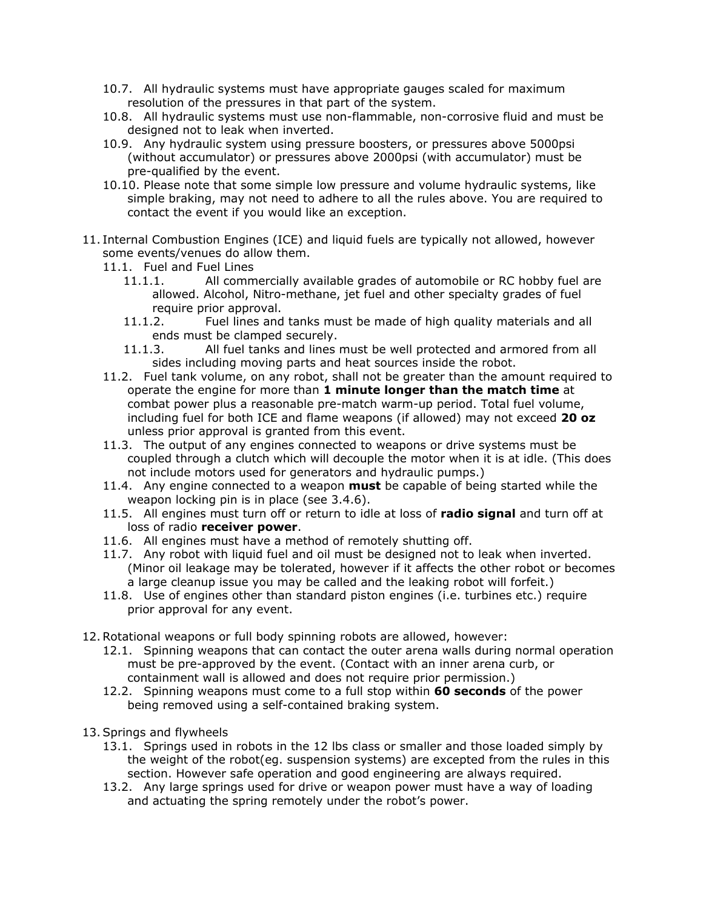- 10.7. All hydraulic systems must have appropriate gauges scaled for maximum resolution of the pressures in that part of the system.
- 10.8. All hydraulic systems must use non-flammable, non-corrosive fluid and must be designed not to leak when inverted.
- 10.9. Any hydraulic system using pressure boosters, or pressures above 5000psi (without accumulator) or pressures above 2000psi (with accumulator) must be pre-qualified by the event.
- 10.10. Please note that some simple low pressure and volume hydraulic systems, like simple braking, may not need to adhere to all the rules above. You are required to contact the event if you would like an exception.
- 11. Internal Combustion Engines (ICE) and liquid fuels are typically not allowed, however some events/venues do allow them.
	- 11.1. Fuel and Fuel Lines
		- 11.1.1. All commercially available grades of automobile or RC hobby fuel are allowed. Alcohol, Nitro-methane, jet fuel and other specialty grades of fuel require prior approval.
		- 11.1.2. Fuel lines and tanks must be made of high quality materials and all ends must be clamped securely.
		- 11.1.3. All fuel tanks and lines must be well protected and armored from all sides including moving parts and heat sources inside the robot.
	- 11.2. Fuel tank volume, on any robot, shall not be greater than the amount required to operate the engine for more than **1 minute longer than the match time** at combat power plus a reasonable pre-match warm-up period. Total fuel volume, including fuel for both ICE and flame weapons (if allowed) may not exceed **20 oz** unless prior approval is granted from this event.
	- 11.3. The output of any engines connected to weapons or drive systems must be coupled through a clutch which will decouple the motor when it is at idle. (This does not include motors used for generators and hydraulic pumps.)
	- 11.4. Any engine connected to a weapon **must** be capable of being started while the weapon locking pin is in place (see 3.4.6).
	- 11.5. All engines must turn off or return to idle at loss of **radio signal** and turn off at loss of radio **receiver power**.
	- 11.6. All engines must have a method of remotely shutting off.
	- 11.7. Any robot with liquid fuel and oil must be designed not to leak when inverted. (Minor oil leakage may be tolerated, however if it affects the other robot or becomes a large cleanup issue you may be called and the leaking robot will forfeit.)
	- 11.8. Use of engines other than standard piston engines (i.e. turbines etc.) require prior approval for any event.
- 12.Rotational weapons or full body spinning robots are allowed, however:
	- 12.1. Spinning weapons that can contact the outer arena walls during normal operation must be pre-approved by the event. (Contact with an inner arena curb, or containment wall is allowed and does not require prior permission.)
	- 12.2. Spinning weapons must come to a full stop within **60 seconds** of the power being removed using a self-contained braking system.
- 13.Springs and flywheels
	- 13.1. Springs used in robots in the 12 lbs class or smaller and those loaded simply by the weight of the robot(eg. suspension systems) are excepted from the rules in this section. However safe operation and good engineering are always required.
	- 13.2. Any large springs used for drive or weapon power must have a way of loading and actuating the spring remotely under the robot's power.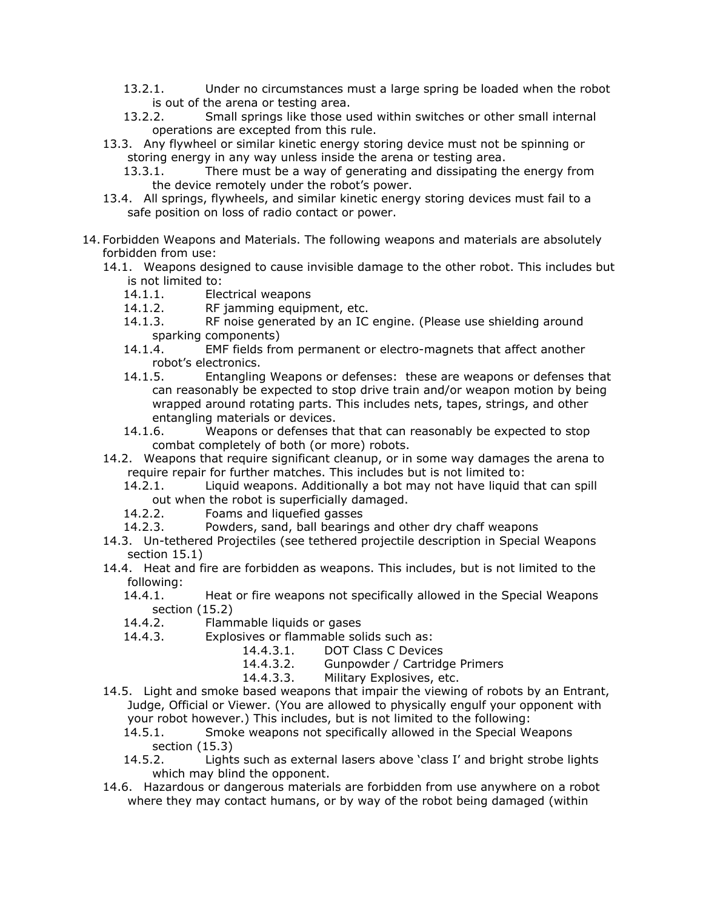- 13.2.1. Under no circumstances must a large spring be loaded when the robot is out of the arena or testing area.
- 13.2.2. Small springs like those used within switches or other small internal operations are excepted from this rule.
- 13.3. Any flywheel or similar kinetic energy storing device must not be spinning or storing energy in any way unless inside the arena or testing area.
	- 13.3.1. There must be a way of generating and dissipating the energy from the device remotely under the robot's power.
- 13.4. All springs, flywheels, and similar kinetic energy storing devices must fail to a safe position on loss of radio contact or power.
- 14. Forbidden Weapons and Materials. The following weapons and materials are absolutely forbidden from use:
	- 14.1. Weapons designed to cause invisible damage to the other robot. This includes but is not limited to:
		- 14.1.1. Electrical weapons
		- 14.1.2. RF jamming equipment, etc.
		- 14.1.3. RF noise generated by an IC engine. (Please use shielding around sparking components)
		- 14.1.4. EMF fields from permanent or electro-magnets that affect another robot's electronics.
		- 14.1.5. Entangling Weapons or defenses: these are weapons or defenses that can reasonably be expected to stop drive train and/or weapon motion by being wrapped around rotating parts. This includes nets, tapes, strings, and other entangling materials or devices.
		- 14.1.6. Weapons or defenses that that can reasonably be expected to stop combat completely of both (or more) robots.
	- 14.2. Weapons that require significant cleanup, or in some way damages the arena to require repair for further matches. This includes but is not limited to:
		- 14.2.1. Liquid weapons. Additionally a bot may not have liquid that can spill out when the robot is superficially damaged.
		- 14.2.2. Foams and liquefied gasses
		- 14.2.3. Powders, sand, ball bearings and other dry chaff weapons
	- 14.3. Un-tethered Projectiles (see tethered projectile description in Special Weapons section 15.1)
	- 14.4. Heat and fire are forbidden as weapons. This includes, but is not limited to the following:
		- 14.4.1. Heat or fire weapons not specifically allowed in the Special Weapons section (15.2)
		- 14.4.2. Flammable liquids or gases
		- 14.4.3. Explosives or flammable solids such as:
			- 14.4.3.1. DOT Class C Devices
			- 14.4.3.2. Gunpowder / Cartridge Primers
			- 14.4.3.3. Military Explosives, etc.
	- 14.5. Light and smoke based weapons that impair the viewing of robots by an Entrant, Judge, Official or Viewer. (You are allowed to physically engulf your opponent with your robot however.) This includes, but is not limited to the following:
		- 14.5.1. Smoke weapons not specifically allowed in the Special Weapons section (15.3)
		- 14.5.2. Lights such as external lasers above 'class I' and bright strobe lights which may blind the opponent.
	- 14.6. Hazardous or dangerous materials are forbidden from use anywhere on a robot where they may contact humans, or by way of the robot being damaged (within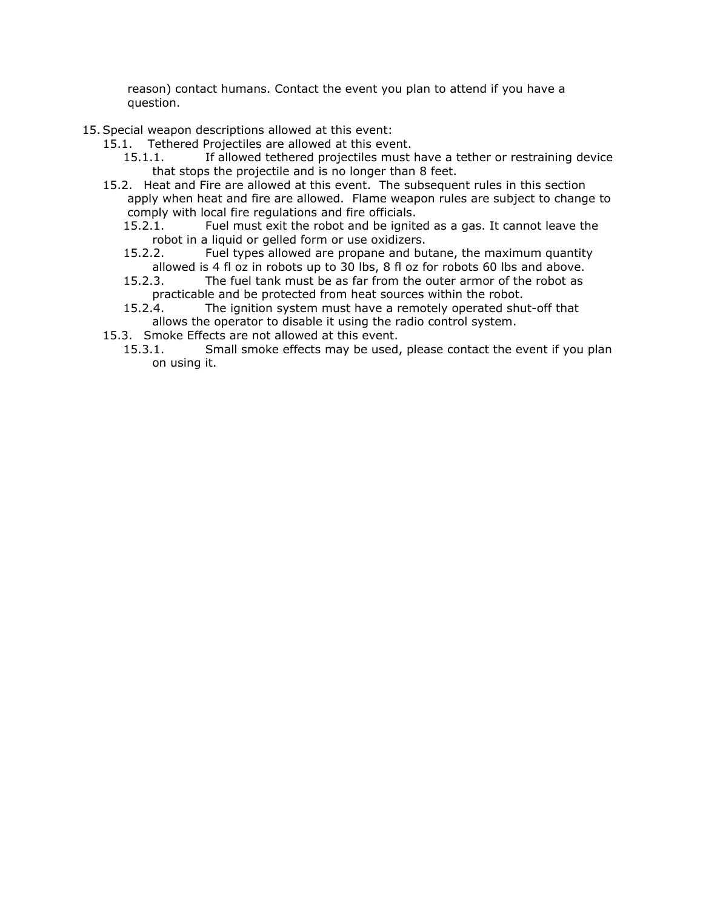reason) contact humans. Contact the event you plan to attend if you have a question.

- 15.Special weapon descriptions allowed at this event:
	- 15.1. Tethered Projectiles are allowed at this event.
		- 15.1.1. If allowed tethered projectiles must have a tether or restraining device that stops the projectile and is no longer than 8 feet.
	- 15.2. Heat and Fire are allowed at this event. The subsequent rules in this section apply when heat and fire are allowed. Flame weapon rules are subject to change to comply with local fire regulations and fire officials.
		- 15.2.1. Fuel must exit the robot and be ignited as a gas. It cannot leave the robot in a liquid or gelled form or use oxidizers.
		- 15.2.2. Fuel types allowed are propane and butane, the maximum quantity allowed is 4 fl oz in robots up to 30 lbs, 8 fl oz for robots 60 lbs and above.
		- 15.2.3. The fuel tank must be as far from the outer armor of the robot as practicable and be protected from heat sources within the robot.
		- 15.2.4. The ignition system must have a remotely operated shut-off that allows the operator to disable it using the radio control system.
	- 15.3. Smoke Effects are not allowed at this event.
		- 15.3.1. Small smoke effects may be used, please contact the event if you plan on using it.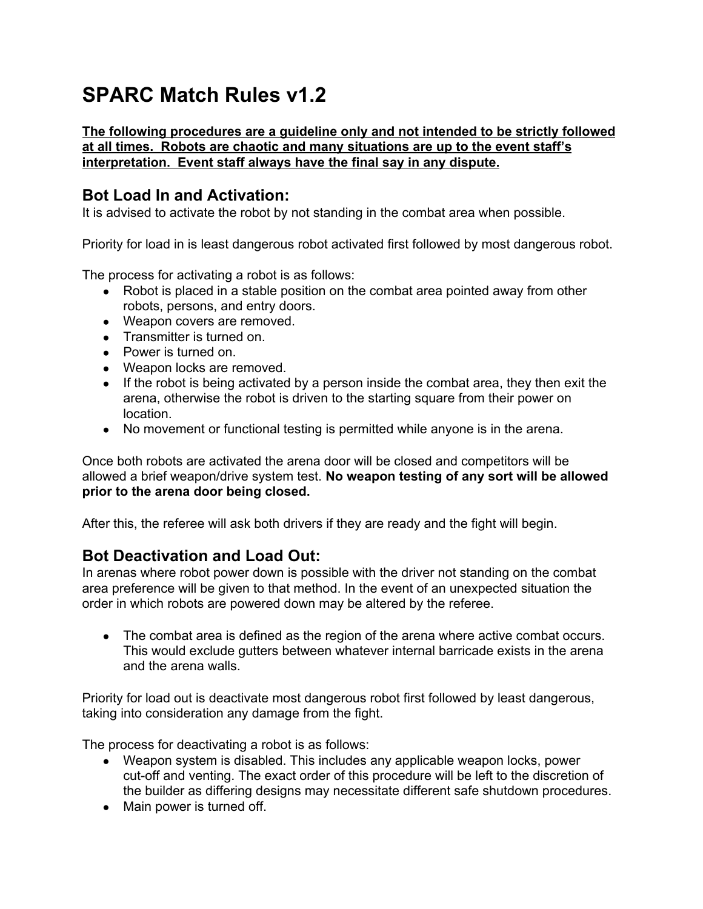## **SPARC Match Rules v1.2**

#### **The following procedures are a guideline only and not intended to be strictly followed at all times. Robots are chaotic and many situations are up to the event staff's interpretation. Event staff always have the final say in any dispute.**

### **Bot Load In and Activation:**

It is advised to activate the robot by not standing in the combat area when possible.

Priority for load in is least dangerous robot activated first followed by most dangerous robot.

The process for activating a robot is as follows:

- Robot is placed in a stable position on the combat area pointed away from other robots, persons, and entry doors.
- Weapon covers are removed.
- Transmitter is turned on.
- Power is turned on.
- Weapon locks are removed.
- If the robot is being activated by a person inside the combat area, they then exit the arena, otherwise the robot is driven to the starting square from their power on location.
- No movement or functional testing is permitted while anyone is in the arena.

Once both robots are activated the arena door will be closed and competitors will be allowed a brief weapon/drive system test. **No weapon testing of any sort will be allowed prior to the arena door being closed.**

After this, the referee will ask both drivers if they are ready and the fight will begin.

## **Bot Deactivation and Load Out:**

In arenas where robot power down is possible with the driver not standing on the combat area preference will be given to that method. In the event of an unexpected situation the order in which robots are powered down may be altered by the referee.

• The combat area is defined as the region of the arena where active combat occurs. This would exclude gutters between whatever internal barricade exists in the arena and the arena walls.

Priority for load out is deactivate most dangerous robot first followed by least dangerous, taking into consideration any damage from the fight.

The process for deactivating a robot is as follows:

- Weapon system is disabled. This includes any applicable weapon locks, power cut-off and venting. The exact order of this procedure will be left to the discretion of the builder as differing designs may necessitate different safe shutdown procedures.
- Main power is turned off.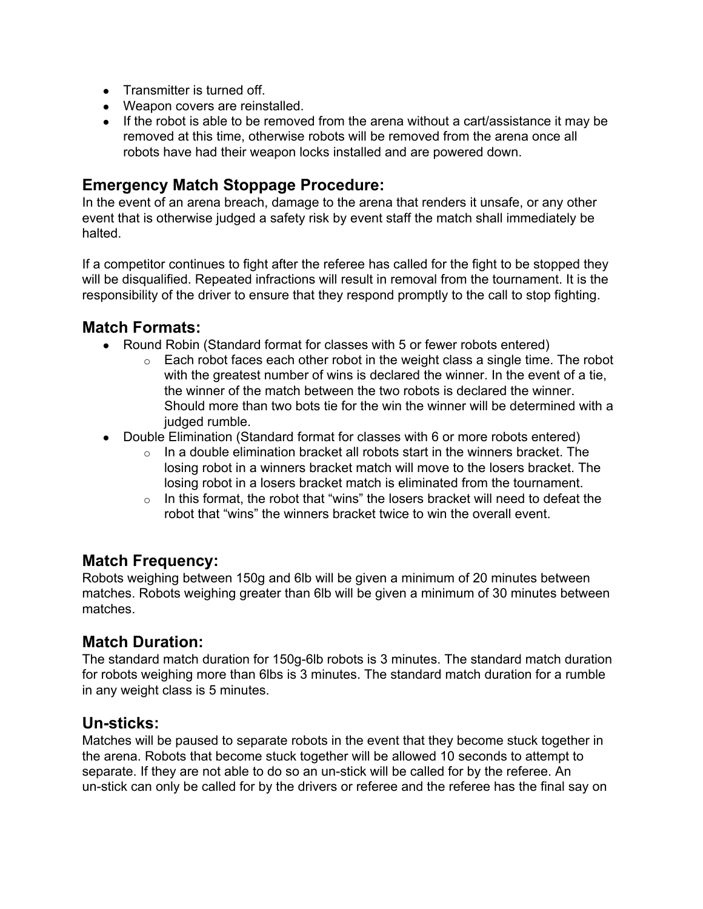- Transmitter is turned off.
- Weapon covers are reinstalled.
- If the robot is able to be removed from the arena without a cart/assistance it may be removed at this time, otherwise robots will be removed from the arena once all robots have had their weapon locks installed and are powered down.

#### **Emergency Match Stoppage Procedure:**

In the event of an arena breach, damage to the arena that renders it unsafe, or any other event that is otherwise judged a safety risk by event staff the match shall immediately be halted.

If a competitor continues to fight after the referee has called for the fight to be stopped they will be disqualified. Repeated infractions will result in removal from the tournament. It is the responsibility of the driver to ensure that they respond promptly to the call to stop fighting.

#### **Match Formats:**

- Round Robin (Standard format for classes with 5 or fewer robots entered)
	- $\circ$  Each robot faces each other robot in the weight class a single time. The robot with the greatest number of wins is declared the winner. In the event of a tie, the winner of the match between the two robots is declared the winner. Should more than two bots tie for the win the winner will be determined with a judged rumble.
- Double Elimination (Standard format for classes with 6 or more robots entered)
	- $\circ$  In a double elimination bracket all robots start in the winners bracket. The losing robot in a winners bracket match will move to the losers bracket. The losing robot in a losers bracket match is eliminated from the tournament.
	- $\circ$  In this format, the robot that "wins" the losers bracket will need to defeat the robot that "wins" the winners bracket twice to win the overall event.

#### **Match Frequency:**

Robots weighing between 150g and 6lb will be given a minimum of 20 minutes between matches. Robots weighing greater than 6lb will be given a minimum of 30 minutes between matches.

## **Match Duration:**

The standard match duration for 150g-6lb robots is 3 minutes. The standard match duration for robots weighing more than 6lbs is 3 minutes. The standard match duration for a rumble in any weight class is 5 minutes.

#### **Un-sticks:**

Matches will be paused to separate robots in the event that they become stuck together in the arena. Robots that become stuck together will be allowed 10 seconds to attempt to separate. If they are not able to do so an un-stick will be called for by the referee. An un-stick can only be called for by the drivers or referee and the referee has the final say on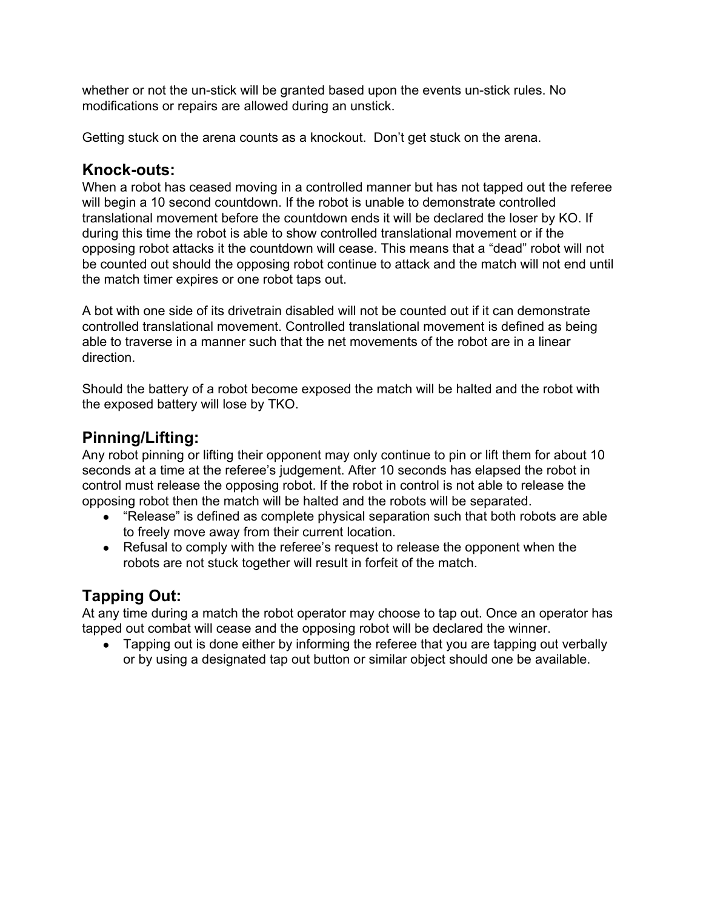whether or not the un-stick will be granted based upon the events un-stick rules. No modifications or repairs are allowed during an unstick.

Getting stuck on the arena counts as a knockout. Don't get stuck on the arena.

#### **Knock-outs:**

When a robot has ceased moving in a controlled manner but has not tapped out the referee will begin a 10 second countdown. If the robot is unable to demonstrate controlled translational movement before the countdown ends it will be declared the loser by KO. If during this time the robot is able to show controlled translational movement or if the opposing robot attacks it the countdown will cease. This means that a "dead" robot will not be counted out should the opposing robot continue to attack and the match will not end until the match timer expires or one robot taps out.

A bot with one side of its drivetrain disabled will not be counted out if it can demonstrate controlled translational movement. Controlled translational movement is defined as being able to traverse in a manner such that the net movements of the robot are in a linear direction.

Should the battery of a robot become exposed the match will be halted and the robot with the exposed battery will lose by TKO.

## **Pinning/Lifting:**

Any robot pinning or lifting their opponent may only continue to pin or lift them for about 10 seconds at a time at the referee's judgement. After 10 seconds has elapsed the robot in control must release the opposing robot. If the robot in control is not able to release the opposing robot then the match will be halted and the robots will be separated.

- "Release" is defined as complete physical separation such that both robots are able to freely move away from their current location.
- Refusal to comply with the referee's request to release the opponent when the robots are not stuck together will result in forfeit of the match.

## **Tapping Out:**

At any time during a match the robot operator may choose to tap out. Once an operator has tapped out combat will cease and the opposing robot will be declared the winner.

• Tapping out is done either by informing the referee that you are tapping out verbally or by using a designated tap out button or similar object should one be available.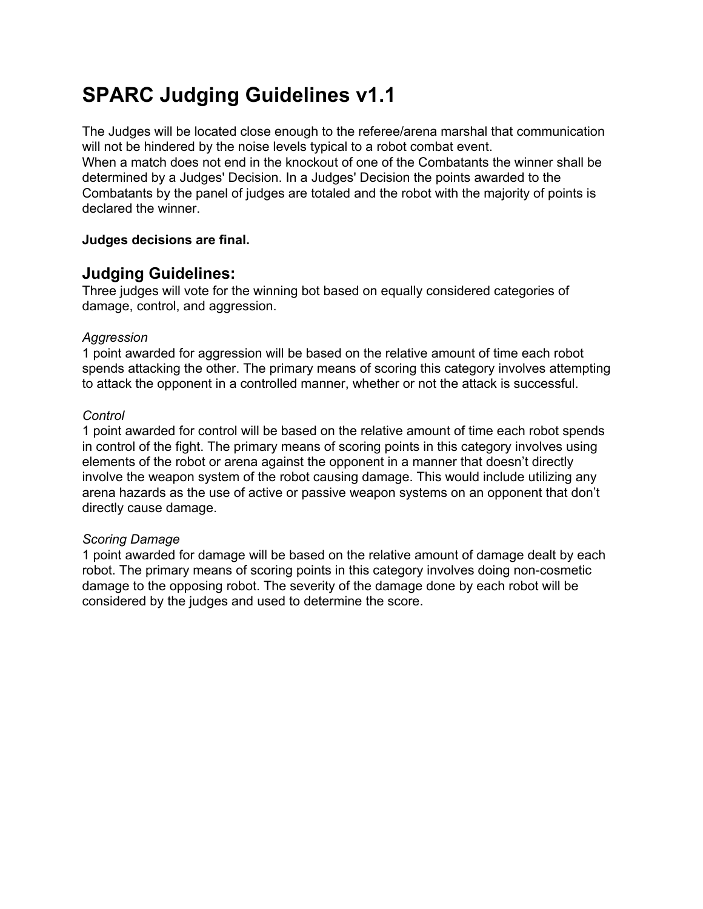## **SPARC Judging Guidelines v1.1**

The Judges will be located close enough to the referee/arena marshal that communication will not be hindered by the noise levels typical to a robot combat event. When a match does not end in the knockout of one of the Combatants the winner shall be determined by a Judges' Decision. In a Judges' Decision the points awarded to the Combatants by the panel of judges are totaled and the robot with the majority of points is declared the winner.

#### **Judges decisions are final.**

#### **Judging Guidelines:**

Three judges will vote for the winning bot based on equally considered categories of damage, control, and aggression.

#### *Aggression*

1 point awarded for aggression will be based on the relative amount of time each robot spends attacking the other. The primary means of scoring this category involves attempting to attack the opponent in a controlled manner, whether or not the attack is successful.

#### *Control*

1 point awarded for control will be based on the relative amount of time each robot spends in control of the fight. The primary means of scoring points in this category involves using elements of the robot or arena against the opponent in a manner that doesn't directly involve the weapon system of the robot causing damage. This would include utilizing any arena hazards as the use of active or passive weapon systems on an opponent that don't directly cause damage.

#### *Scoring Damage*

1 point awarded for damage will be based on the relative amount of damage dealt by each robot. The primary means of scoring points in this category involves doing non-cosmetic damage to the opposing robot. The severity of the damage done by each robot will be considered by the judges and used to determine the score.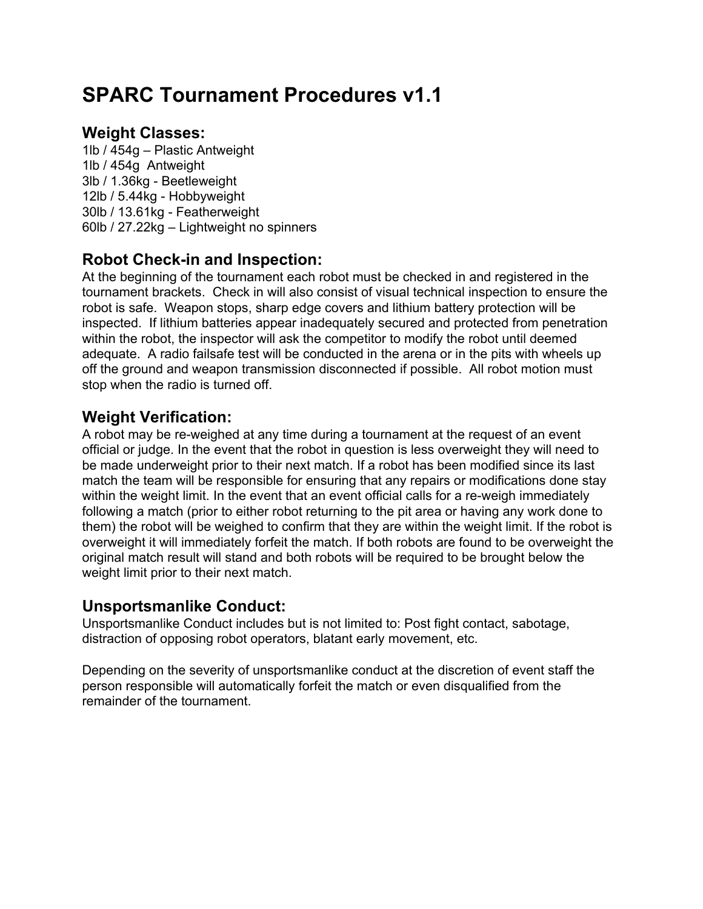## **SPARC Tournament Procedures v1.1**

### **Weight Classes:**

1lb / 454g – Plastic Antweight 1lb / 454g Antweight 3lb / 1.36kg - Beetleweight 12lb / 5.44kg - Hobbyweight 30lb / 13.61kg - Featherweight 60lb / 27.22kg – Lightweight no spinners

## **Robot Check-in and Inspection:**

At the beginning of the tournament each robot must be checked in and registered in the tournament brackets. Check in will also consist of visual technical inspection to ensure the robot is safe. Weapon stops, sharp edge covers and lithium battery protection will be inspected. If lithium batteries appear inadequately secured and protected from penetration within the robot, the inspector will ask the competitor to modify the robot until deemed adequate. A radio failsafe test will be conducted in the arena or in the pits with wheels up off the ground and weapon transmission disconnected if possible. All robot motion must stop when the radio is turned off.

## **Weight Verification:**

A robot may be re-weighed at any time during a tournament at the request of an event official or judge. In the event that the robot in question is less overweight they will need to be made underweight prior to their next match. If a robot has been modified since its last match the team will be responsible for ensuring that any repairs or modifications done stay within the weight limit. In the event that an event official calls for a re-weigh immediately following a match (prior to either robot returning to the pit area or having any work done to them) the robot will be weighed to confirm that they are within the weight limit. If the robot is overweight it will immediately forfeit the match. If both robots are found to be overweight the original match result will stand and both robots will be required to be brought below the weight limit prior to their next match.

#### **Unsportsmanlike Conduct:**

Unsportsmanlike Conduct includes but is not limited to: Post fight contact, sabotage, distraction of opposing robot operators, blatant early movement, etc.

Depending on the severity of unsportsmanlike conduct at the discretion of event staff the person responsible will automatically forfeit the match or even disqualified from the remainder of the tournament.